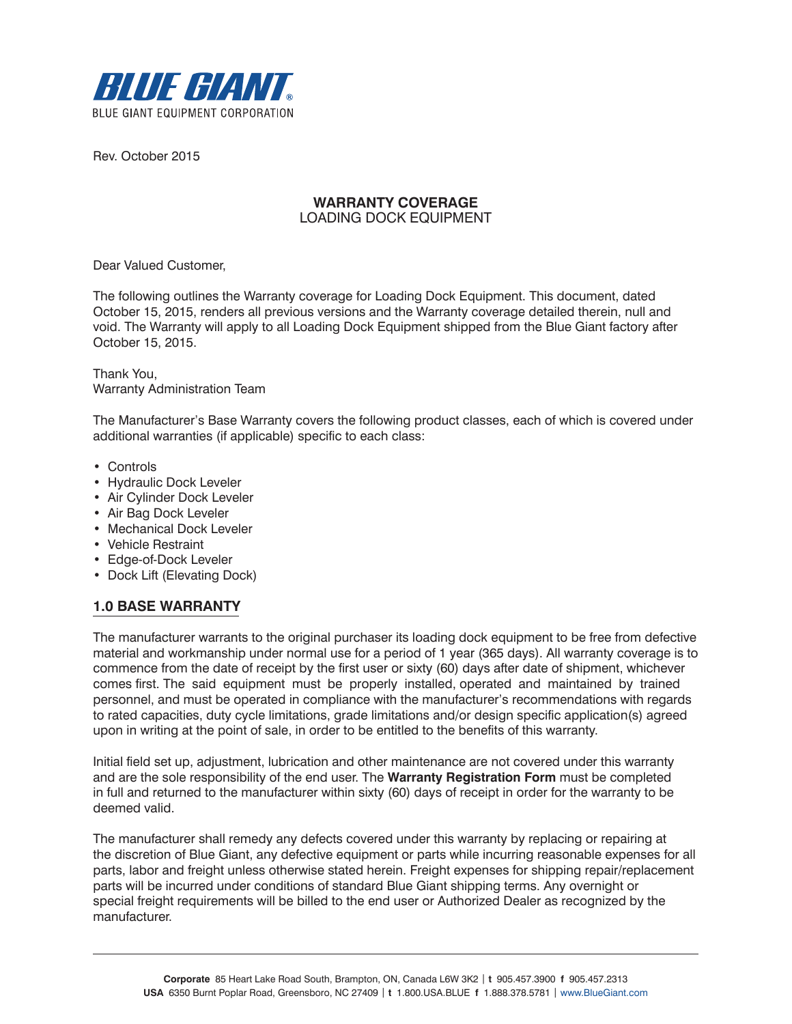

Rev. October 2015

# **WARRANTY COVERAGE** LOADING DOCK EQUIPMENT

Dear Valued Customer,

The following outlines the Warranty coverage for Loading Dock Equipment. This document, dated October 15, 2015, renders all previous versions and the Warranty coverage detailed therein, null and void. The Warranty will apply to all Loading Dock Equipment shipped from the Blue Giant factory after October 15, 2015.

Thank You, Warranty Administration Team

The Manufacturer's Base Warranty covers the following product classes, each of which is covered under additional warranties (if applicable) specific to each class:

- Controls
- Hydraulic Dock Leveler
- Air Cylinder Dock Leveler
- Air Bag Dock Leveler
- Mechanical Dock Leveler
- Vehicle Restraint
- Edge-of-Dock Leveler
- Dock Lift (Elevating Dock)

# **1.0 BASE WARRANTY**

The manufacturer warrants to the original purchaser its loading dock equipment to be free from defective material and workmanship under normal use for a period of 1 year (365 days). All warranty coverage is to commence from the date of receipt by the first user or sixty (60) days after date of shipment, whichever comes first. The said equipment must be properly installed, operated and maintained by trained personnel, and must be operated in compliance with the manufacturer's recommendations with regards to rated capacities, duty cycle limitations, grade limitations and/or design specific application(s) agreed upon in writing at the point of sale, in order to be entitled to the benefits of this warranty.

Initial field set up, adjustment, lubrication and other maintenance are not covered under this warranty and are the sole responsibility of the end user. The **Warranty Registration Form** must be completed in full and returned to the manufacturer within sixty (60) days of receipt in order for the warranty to be deemed valid.

The manufacturer shall remedy any defects covered under this warranty by replacing or repairing at the discretion of Blue Giant, any defective equipment or parts while incurring reasonable expenses for all parts, labor and freight unless otherwise stated herein. Freight expenses for shipping repair/replacement parts will be incurred under conditions of standard Blue Giant shipping terms. Any overnight or special freight requirements will be billed to the end user or Authorized Dealer as recognized by the manufacturer.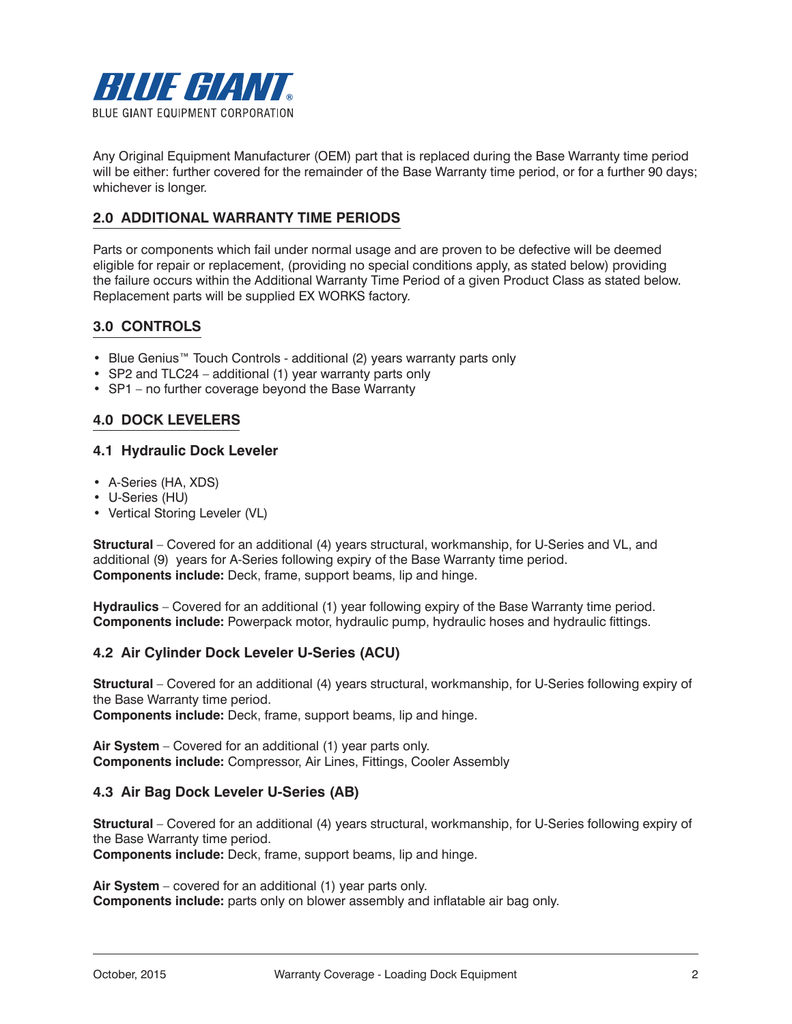

Any Original Equipment Manufacturer (OEM) part that is replaced during the Base Warranty time period will be either: further covered for the remainder of the Base Warranty time period, or for a further 90 days; whichever is longer.

# **2.0 ADDITIONAL WARRANTY TIME PERIODS**

Parts or components which fail under normal usage and are proven to be defective will be deemed eligible for repair or replacement, (providing no special conditions apply, as stated below) providing the failure occurs within the Additional Warranty Time Period of a given Product Class as stated below. Replacement parts will be supplied EX WORKS factory.

# **3.0 CONTROLS**

- Blue Genius™ Touch Controls additional (2) years warranty parts only
- SP2 and TLC24 additional (1) year warranty parts only
- SP1 no further coverage beyond the Base Warranty

# **4.0 DOCK LEVELERS**

## **4.1 Hydraulic Dock Leveler**

- A-Series (HA, XDS)
- U-Series (HU)
- Vertical Storing Leveler (VL)

**Structural** – Covered for an additional (4) years structural, workmanship, for U-Series and VL, and additional (9) years for A-Series following expiry of the Base Warranty time period. **Components include:** Deck, frame, support beams, lip and hinge.

**Hydraulics** – Covered for an additional (1) year following expiry of the Base Warranty time period. **Components include:** Powerpack motor, hydraulic pump, hydraulic hoses and hydraulic fittings.

## **4.2 Air Cylinder Dock Leveler U-Series (ACU)**

**Structural** – Covered for an additional (4) years structural, workmanship, for U-Series following expiry of the Base Warranty time period. **Components include:** Deck, frame, support beams, lip and hinge.

**Air System** – Covered for an additional (1) year parts only. **Components include:** Compressor, Air Lines, Fittings, Cooler Assembly

## **4.3 Air Bag Dock Leveler U-Series (AB)**

**Structural** – Covered for an additional (4) years structural, workmanship, for U-Series following expiry of the Base Warranty time period.

**Components include:** Deck, frame, support beams, lip and hinge.

**Air System** – covered for an additional (1) year parts only. **Components include:** parts only on blower assembly and inflatable air bag only.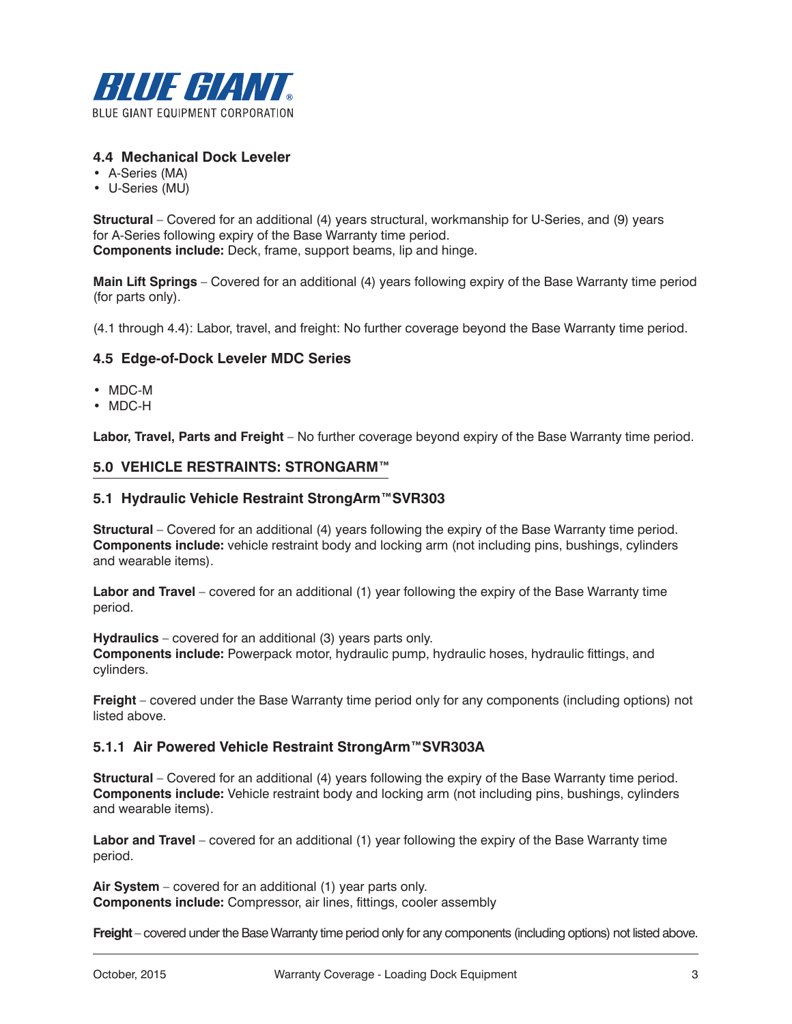

# **4.4 Mechanical Dock Leveler**

- A-Series (MA)
- U-Series (MU)

**Structural** – Covered for an additional (4) years structural, workmanship for U-Series, and (9) years for A-Series following expiry of the Base Warranty time period. **Components include:** Deck, frame, support beams, lip and hinge.

**Main Lift Springs** – Covered for an additional (4) years following expiry of the Base Warranty time period (for parts only).

(4.1 through 4.4): Labor, travel, and freight: No further coverage beyond the Base Warranty time period.

## **4.5 Edge-of-Dock Leveler MDC Series**

- MDC-M
- MDC-H

**Labor, Travel, Parts and Freight** – No further coverage beyond expiry of the Base Warranty time period.

#### **5.0 VEHICLE RESTRAINTS: STRONGARM™**

### **5.1 Hydraulic Vehicle Restraint StrongArm™SVR303**

**Structural** – Covered for an additional (4) years following the expiry of the Base Warranty time period. **Components include:** vehicle restraint body and locking arm (not including pins, bushings, cylinders and wearable items).

**Labor and Travel** – covered for an additional (1) year following the expiry of the Base Warranty time period.

**Hydraulics** – covered for an additional (3) years parts only. **Components include:** Powerpack motor, hydraulic pump, hydraulic hoses, hydraulic fittings, and cylinders.

**Freight** – covered under the Base Warranty time period only for any components (including options) not listed above.

### **5.1.1 Air Powered Vehicle Restraint StrongArm™SVR303A**

**Structural** – Covered for an additional (4) years following the expiry of the Base Warranty time period. **Components include:** Vehicle restraint body and locking arm (not including pins, bushings, cylinders and wearable items).

**Labor and Travel** – covered for an additional (1) year following the expiry of the Base Warranty time period.

**Air System** – covered for an additional (1) year parts only. **Components include:** Compressor, air lines, fittings, cooler assembly

**Freight** – covered under the Base Warranty time period only for any components (including options) not listed above.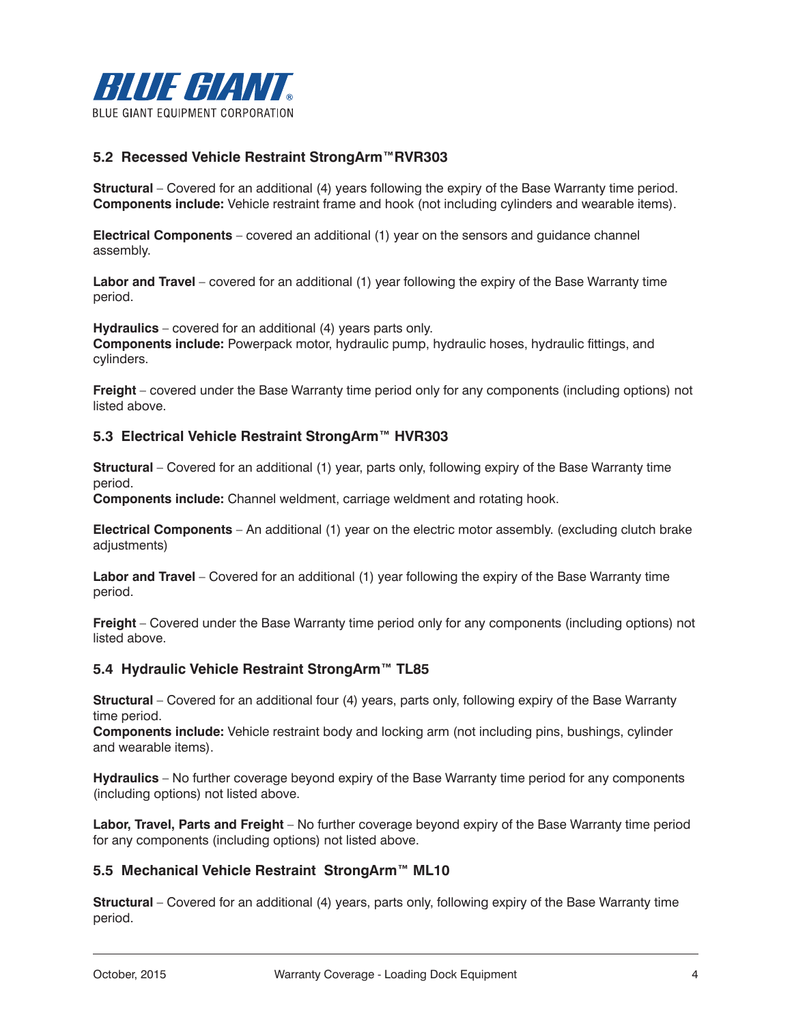

# **5.2 Recessed Vehicle Restraint StrongArm™RVR303**

**Structural** – Covered for an additional (4) years following the expiry of the Base Warranty time period. **Components include:** Vehicle restraint frame and hook (not including cylinders and wearable items).

**Electrical Components** – covered an additional (1) year on the sensors and guidance channel assembly.

**Labor and Travel** – covered for an additional (1) year following the expiry of the Base Warranty time period.

**Hydraulics** – covered for an additional (4) years parts only.

**Components include:** Powerpack motor, hydraulic pump, hydraulic hoses, hydraulic fittings, and cylinders.

**Freight** – covered under the Base Warranty time period only for any components (including options) not listed above.

## **5.3 Electrical Vehicle Restraint StrongArm™ HVR303**

**Structural** – Covered for an additional (1) year, parts only, following expiry of the Base Warranty time period.

**Components include:** Channel weldment, carriage weldment and rotating hook.

**Electrical Components** – An additional (1) year on the electric motor assembly. (excluding clutch brake adjustments)

**Labor and Travel** – Covered for an additional (1) year following the expiry of the Base Warranty time period.

**Freight** – Covered under the Base Warranty time period only for any components (including options) not listed above.

### **5.4 Hydraulic Vehicle Restraint StrongArm™ TL85**

**Structural** – Covered for an additional four (4) years, parts only, following expiry of the Base Warranty time period.

**Components include:** Vehicle restraint body and locking arm (not including pins, bushings, cylinder and wearable items).

**Hydraulics** – No further coverage beyond expiry of the Base Warranty time period for any components (including options) not listed above.

**Labor, Travel, Parts and Freight** – No further coverage beyond expiry of the Base Warranty time period for any components (including options) not listed above.

### **5.5 Mechanical Vehicle Restraint StrongArm™ ML10**

**Structural** – Covered for an additional (4) years, parts only, following expiry of the Base Warranty time period.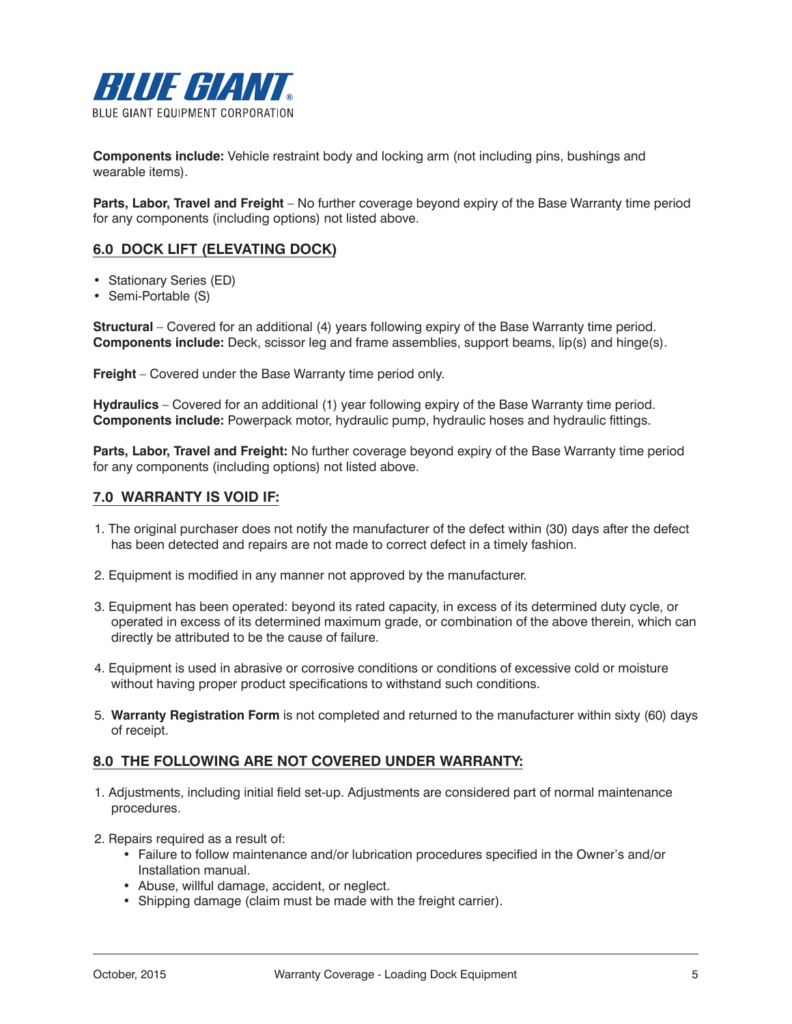

**Components include:** Vehicle restraint body and locking arm (not including pins, bushings and wearable items).

**Parts, Labor, Travel and Freight** – No further coverage beyond expiry of the Base Warranty time period for any components (including options) not listed above.

# **6.0 DOCK LIFT (ELEVATING DOCK)**

- Stationary Series (ED)
- Semi-Portable (S)

**Structural** – Covered for an additional (4) years following expiry of the Base Warranty time period. **Components include:** Deck, scissor leg and frame assemblies, support beams, lip(s) and hinge(s).

**Freight** – Covered under the Base Warranty time period only.

**Hydraulics** – Covered for an additional (1) year following expiry of the Base Warranty time period. **Components include:** Powerpack motor, hydraulic pump, hydraulic hoses and hydraulic fittings.

**Parts, Labor, Travel and Freight:** No further coverage beyond expiry of the Base Warranty time period for any components (including options) not listed above.

## **7.0 WARRANTY IS VOID IF:**

- 1. The original purchaser does not notify the manufacturer of the defect within (30) days after the defect has been detected and repairs are not made to correct defect in a timely fashion.
- 2. Equipment is modified in any manner not approved by the manufacturer.
- 3. Equipment has been operated: beyond its rated capacity, in excess of its determined duty cycle, or operated in excess of its determined maximum grade, or combination of the above therein, which can directly be attributed to be the cause of failure.
- 4. Equipment is used in abrasive or corrosive conditions or conditions of excessive cold or moisture without having proper product specifications to withstand such conditions.
- 5. **Warranty Registration Form** is not completed and returned to the manufacturer within sixty (60) days of receipt.

## **8.0 THE FOLLOWING ARE NOT COVERED UNDER WARRANTY:**

- 1. Adjustments, including initial field set-up. Adjustments are considered part of normal maintenance procedures.
- 2. Repairs required as a result of:
	- Failure to follow maintenance and/or lubrication procedures specified in the Owner's and/or Installation manual.
	- Abuse, willful damage, accident, or neglect.
	- Shipping damage (claim must be made with the freight carrier).